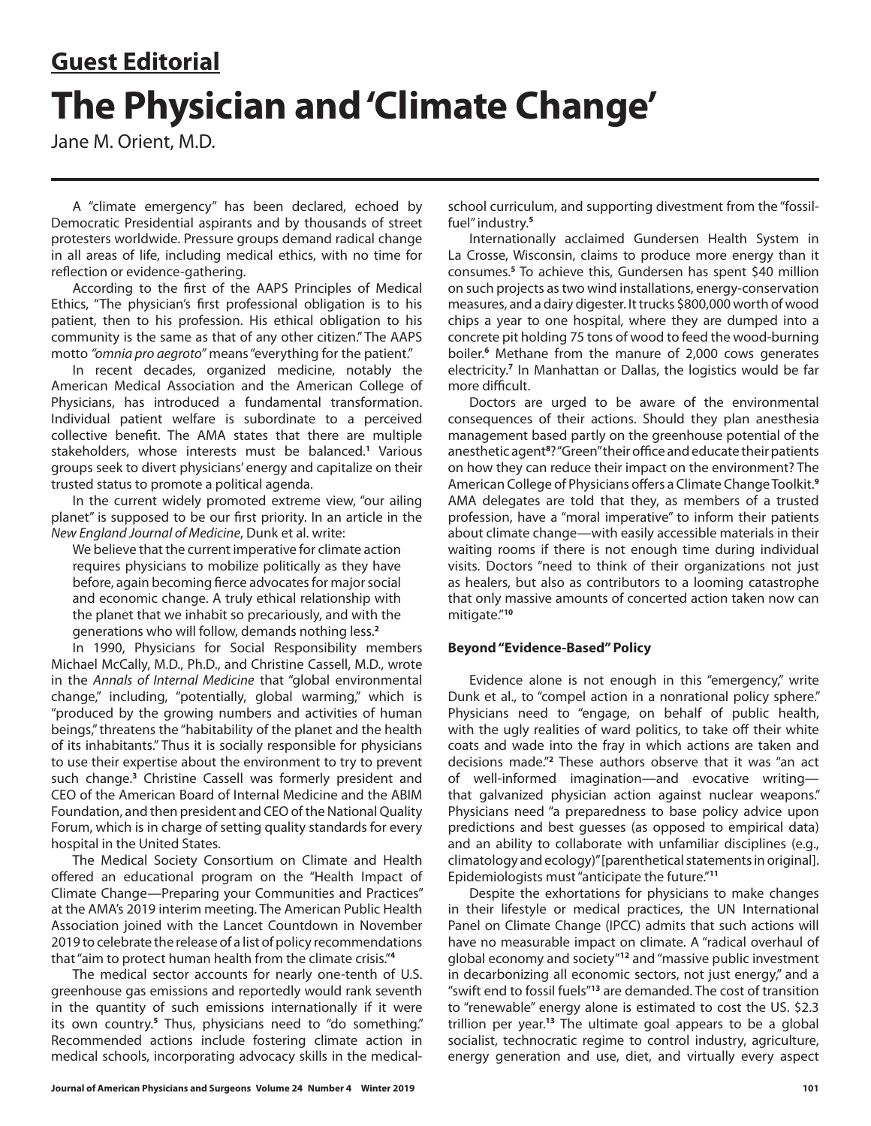# **Guest Editorial The Physician and 'Climate Change'**

Jane M. Orient, M.D.

A "climate emergency" has been declared, echoed by Democratic Presidential aspirants and by thousands of street protesters worldwide. Pressure groups demand radical change in all areas of life, including medical ethics, with no time for reflection or evidence-gathering.

According to the first of the AAPS Principles of Medical Ethics, "The physician's first professional obligation is to his patient, then to his profession. His ethical obligation to his community is the same as that of any other citizen." The AAPS motto *"omnia pro aegroto"* means "everything for the patient."

In recent decades, organized medicine, notably the American Medical Association and the American College of Physicians, has introduced a fundamental transformation. Individual patient welfare is subordinate to a perceived collective benefit. The AMA states that there are multiple stakeholders, whose interests must be balanced.**<sup>1</sup>** Various groups seek to divert physicians' energy and capitalize on their trusted status to promote a political agenda.

In the current widely promoted extreme view, "our ailing planet" is supposed to be our first priority. In an article in the *New England Journal of Medicine*, Dunk et al. write:

We believe that the current imperative for climate action requires physicians to mobilize politically as they have before, again becoming fierce advocates for major social and economic change. A truly ethical relationship with the planet that we inhabit so precariously, and with the generations who will follow, demands nothing less.**<sup>2</sup>**

In 1990, Physicians for Social Responsibility members Michael McCally, M.D., Ph.D., and Christine Cassell, M.D., wrote in the *Annals of Internal Medicine* that "global environmental change," including, "potentially, global warming," which is "produced by the growing numbers and activities of human beings," threatens the "habitability of the planet and the health of its inhabitants." Thus it is socially responsible for physicians to use their expertise about the environment to try to prevent such change.**<sup>3</sup>** Christine Cassell was formerly president and CEO of the American Board of Internal Medicine and the ABIM Foundation, and then president and CEO of the National Quality Forum, which is in charge of setting quality standards for every hospital in the United States.

The Medical Society Consortium on Climate and Health offered an educational program on the "Health Impact of Climate Change—Preparing your Communities and Practices" at the AMA's 2019 interim meeting. The American Public Health Association joined with the Lancet Countdown in November 2019 to celebrate the release of a list of policy recommendations that "aim to protect human health from the climate crisis."**<sup>4</sup>**

The medical sector accounts for nearly one-tenth of U.S. greenhouse gas emissions and reportedly would rank seventh in the quantity of such emissions internationally if it were its own country.<sup>5</sup> Thus, physicians need to "do something." Recommended actions include fostering climate action in medical schools, incorporating advocacy skills in the medicalschool curriculum, and supporting divestment from the "fossilfuel" industry.**<sup>5</sup>**

Internationally acclaimed Gundersen Health System in La Crosse, Wisconsin, claims to produce more energy than it consumes.**<sup>5</sup>** To achieve this, Gundersen has spent \$40 million on such projects as two wind installations, energy-conservation measures, and a dairy digester. It trucks \$800,000 worth of wood chips a year to one hospital, where they are dumped into a concrete pit holding 75 tons of wood to feed the wood-burning boiler.**<sup>6</sup>** Methane from the manure of 2,000 cows generates electricity.**<sup>7</sup>** In Manhattan or Dallas, the logistics would be far more difficult.

Doctors are urged to be aware of the environmental consequences of their actions. Should they plan anesthesia management based partly on the greenhouse potential of the anesthetic agent**<sup>8</sup>** ? "Green" their office and educate their patients on how they can reduce their impact on the environment? The American College of Physicians offers a Climate Change Toolkit.**<sup>9</sup>** AMA delegates are told that they, as members of a trusted profession, have a "moral imperative" to inform their patients about climate change—with easily accessible materials in their waiting rooms if there is not enough time during individual visits. Doctors "need to think of their organizations not just as healers, but also as contributors to a looming catastrophe that only massive amounts of concerted action taken now can mitigate."**<sup>10</sup>**

## **Beyond "Evidence-Based" Policy**

Evidence alone is not enough in this "emergency," write Dunk et al., to "compel action in a nonrational policy sphere." Physicians need to "engage, on behalf of public health, with the ugly realities of ward politics, to take off their white coats and wade into the fray in which actions are taken and decisions made."**<sup>2</sup>** These authors observe that it was "an act of well-informed imagination—and evocative writing that galvanized physician action against nuclear weapons." Physicians need "a preparedness to base policy advice upon predictions and best guesses (as opposed to empirical data) and an ability to collaborate with unfamiliar disciplines (e.g., climatology and ecology)" [parenthetical statements in original]. Epidemiologists must "anticipate the future."**<sup>11</sup>**

Despite the exhortations for physicians to make changes in their lifestyle or medical practices, the UN International Panel on Climate Change (IPCC) admits that such actions will have no measurable impact on climate. A "radical overhaul of global economy and society"**<sup>12</sup>** and "massive public investment in decarbonizing all economic sectors, not just energy," and a "swift end to fossil fuels"**<sup>13</sup>** are demanded. The cost of transition to "renewable" energy alone is estimated to cost the US. \$2.3 trillion per year.**<sup>13</sup>** The ultimate goal appears to be a global socialist, technocratic regime to control industry, agriculture, energy generation and use, diet, and virtually every aspect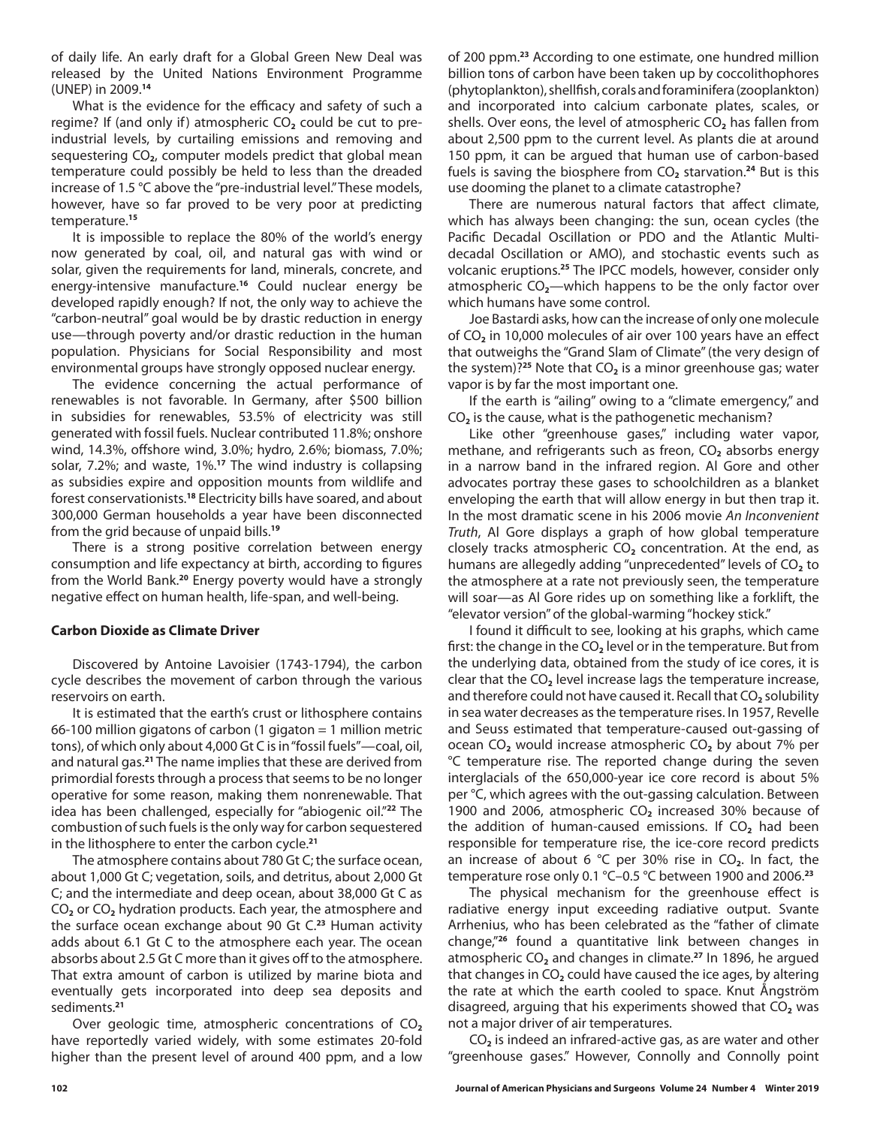of daily life. An early draft for a Global Green New Deal was released by the United Nations Environment Programme (UNEP) in 2009.**<sup>14</sup>**

What is the evidence for the efficacy and safety of such a regime? If (and only if) atmospheric CO<sub>2</sub> could be cut to preindustrial levels, by curtailing emissions and removing and sequestering CO**2**, computer models predict that global mean temperature could possibly be held to less than the dreaded increase of 1.5 °C above the "pre-industrial level." These models, however, have so far proved to be very poor at predicting temperature.**<sup>15</sup>**

It is impossible to replace the 80% of the world's energy now generated by coal, oil, and natural gas with wind or solar, given the requirements for land, minerals, concrete, and energy-intensive manufacture.**<sup>16</sup>** Could nuclear energy be developed rapidly enough? If not, the only way to achieve the "carbon-neutral" goal would be by drastic reduction in energy use—through poverty and/or drastic reduction in the human population. Physicians for Social Responsibility and most environmental groups have strongly opposed nuclear energy.

The evidence concerning the actual performance of renewables is not favorable. In Germany, after \$500 billion in subsidies for renewables, 53.5% of electricity was still generated with fossil fuels. Nuclear contributed 11.8%; onshore wind, 14.3%, offshore wind, 3.0%; hydro, 2.6%; biomass, 7.0%; solar, 7.2%; and waste, 1%.**<sup>17</sup>** The wind industry is collapsing as subsidies expire and opposition mounts from wildlife and forest conservationists.**<sup>18</sup>** Electricity bills have soared, and about 300,000 German households a year have been disconnected from the grid because of unpaid bills.**<sup>19</sup>**

There is a strong positive correlation between energy consumption and life expectancy at birth, according to figures from the World Bank.**<sup>20</sup>** Energy poverty would have a strongly negative effect on human health, life-span, and well-being.

### **Carbon Dioxide as Climate Driver**

Discovered by Antoine Lavoisier (1743-1794), the carbon cycle describes the movement of carbon through the various reservoirs on earth.

It is estimated that the earth's crust or lithosphere contains 66-100 million gigatons of carbon (1 gigaton  $=$  1 million metric tons), of which only about 4,000 Gt C is in "fossil fuels"—coal, oil, and natural gas.**<sup>21</sup>** The name implies that these are derived from primordial forests through a process that seems to be no longer operative for some reason, making them nonrenewable. That idea has been challenged, especially for "abiogenic oil."**<sup>22</sup>** The combustion of such fuels is the only way for carbon sequestered in the lithosphere to enter the carbon cycle.**<sup>21</sup>**

The atmosphere contains about 780 Gt C; the surface ocean, about 1,000 Gt C; vegetation, soils, and detritus, about 2,000 Gt C; and the intermediate and deep ocean, about 38,000 Gt C as CO**2** or CO**2** hydration products. Each year, the atmosphere and the surface ocean exchange about 90 Gt C.**<sup>23</sup>** Human activity adds about 6.1 Gt C to the atmosphere each year. The ocean absorbs about 2.5 Gt C more than it gives off to the atmosphere. That extra amount of carbon is utilized by marine biota and eventually gets incorporated into deep sea deposits and sediments.**<sup>21</sup>**

Over geologic time, atmospheric concentrations of CO<sub>2</sub> have reportedly varied widely, with some estimates 20-fold higher than the present level of around 400 ppm, and a low

of 200 ppm.**<sup>23</sup>** According to one estimate, one hundred million billion tons of carbon have been taken up by coccolithophores (phytoplankton), shellfish, corals and foraminifera (zooplankton) and incorporated into calcium carbonate plates, scales, or shells. Over eons, the level of atmospheric CO<sub>2</sub> has fallen from about 2,500 ppm to the current level. As plants die at around 150 ppm, it can be argued that human use of carbon-based fuels is saving the biosphere from CO<sub>2</sub> starvation.<sup>24</sup> But is this use dooming the planet to a climate catastrophe?

There are numerous natural factors that affect climate, which has always been changing: the sun, ocean cycles (the Pacific Decadal Oscillation or PDO and the Atlantic Multidecadal Oscillation or AMO), and stochastic events such as volcanic eruptions.**<sup>25</sup>** The IPCC models, however, consider only atmospheric CO**2**—which happens to be the only factor over which humans have some control.

Joe Bastardi asks, how can the increase of only one molecule of CO**2** in 10,000 molecules of air over 100 years have an effect that outweighs the "Grand Slam of Climate" (the very design of the system)?**<sup>25</sup>** Note that CO**2** is a minor greenhouse gas; water vapor is by far the most important one.

If the earth is "ailing" owing to a "climate emergency," and CO**2** is the cause, what is the pathogenetic mechanism?

Like other "greenhouse gases," including water vapor, methane, and refrigerants such as freon, CO<sub>2</sub> absorbs energy in a narrow band in the infrared region. Al Gore and other advocates portray these gases to schoolchildren as a blanket enveloping the earth that will allow energy in but then trap it. In the most dramatic scene in his 2006 movie *An Inconvenient Truth*, Al Gore displays a graph of how global temperature closely tracks atmospheric CO<sub>2</sub> concentration. At the end, as humans are allegedly adding "unprecedented" levels of CO<sub>2</sub> to the atmosphere at a rate not previously seen, the temperature will soar—as Al Gore rides up on something like a forklift, the "elevator version" of the global-warming "hockey stick."

I found it difficult to see, looking at his graphs, which came first: the change in the CO**2** level or in the temperature. But from the underlying data, obtained from the study of ice cores, it is clear that the CO**2** level increase lags the temperature increase, and therefore could not have caused it. Recall that CO<sub>2</sub> solubility in sea water decreases as the temperature rises. In 1957, Revelle and Seuss estimated that temperature-caused out-gassing of ocean CO**2** would increase atmospheric CO**2** by about 7% per °C temperature rise. The reported change during the seven interglacials of the 650,000-year ice core record is about 5% per °C, which agrees with the out-gassing calculation. Between 1900 and 2006, atmospheric CO**2** increased 30% because of the addition of human-caused emissions. If CO<sub>2</sub> had been responsible for temperature rise, the ice-core record predicts an increase of about 6 °C per 30% rise in CO<sub>2</sub>. In fact, the temperature rose only 0.1 °C–0.5 °C between 1900 and 2006.**<sup>23</sup>**

The physical mechanism for the greenhouse effect is radiative energy input exceeding radiative output. Svante Arrhenius, who has been celebrated as the "father of climate change,"**<sup>26</sup>** found a quantitative link between changes in atmospheric CO**2** and changes in climate.**<sup>27</sup>** In 1896, he argued that changes in CO**2** could have caused the ice ages, by altering the rate at which the earth cooled to space. Knut Ångström disagreed, arguing that his experiments showed that CO<sub>2</sub> was not a major driver of air temperatures.

CO**2** is indeed an infrared-active gas, as are water and other "greenhouse gases." However, Connolly and Connolly point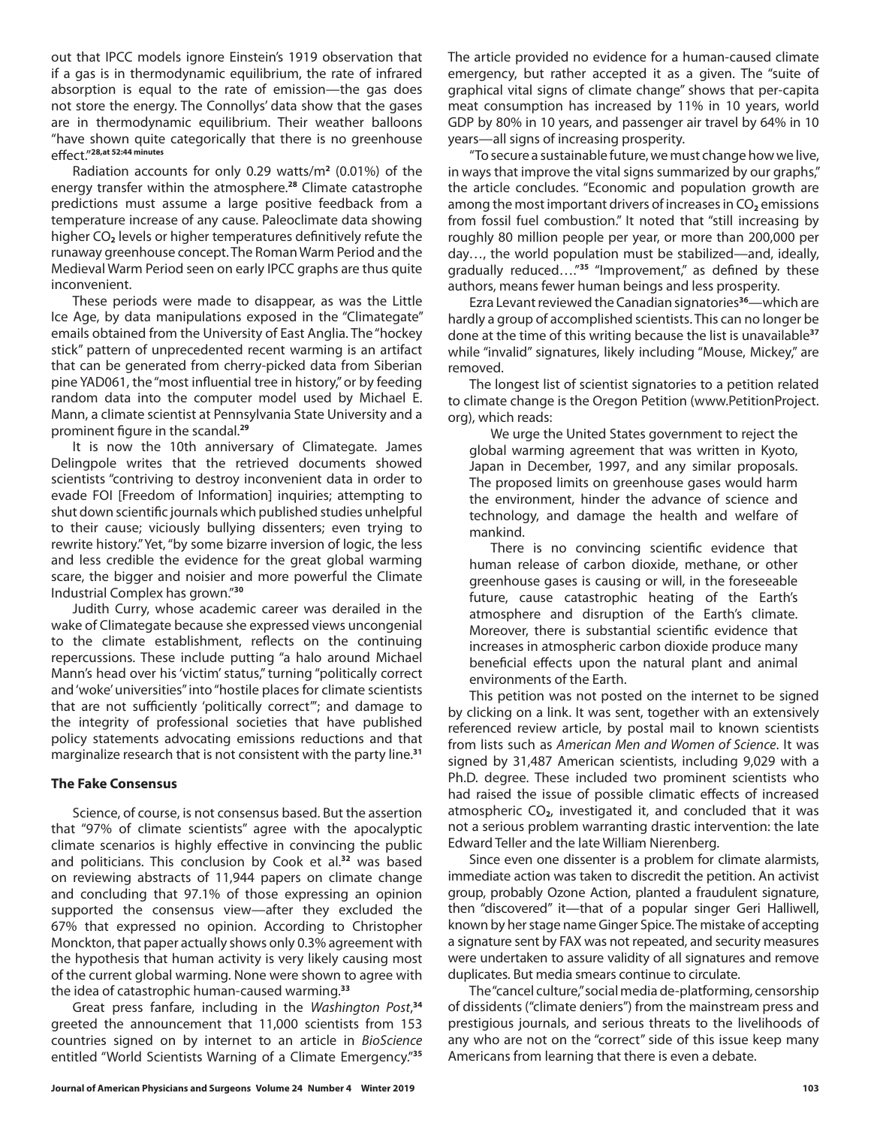out that IPCC models ignore Einstein's 1919 observation that if a gas is in thermodynamic equilibrium, the rate of infrared absorption is equal to the rate of emission—the gas does not store the energy. The Connollys' data show that the gases are in thermodynamic equilibrium. Their weather balloons "have shown quite categorically that there is no greenhouse effect."**28,at 52:44 minutes**

Radiation accounts for only 0.29 watts/m**<sup>2</sup>** (0.01%) of the energy transfer within the atmosphere.**<sup>28</sup>** Climate catastrophe predictions must assume a large positive feedback from a temperature increase of any cause. Paleoclimate data showing higher CO**2** levels or higher temperatures definitively refute the runaway greenhouse concept. The Roman Warm Period and the Medieval Warm Period seen on early IPCC graphs are thus quite inconvenient.

These periods were made to disappear, as was the Little Ice Age, by data manipulations exposed in the "Climategate" emails obtained from the University of East Anglia. The "hockey stick" pattern of unprecedented recent warming is an artifact that can be generated from cherry-picked data from Siberian pine YAD061, the "most influential tree in history," or by feeding random data into the computer model used by Michael E. Mann, a climate scientist at Pennsylvania State University and a prominent figure in the scandal.**<sup>29</sup>**

It is now the 10th anniversary of Climategate. James Delingpole writes that the retrieved documents showed scientists "contriving to destroy inconvenient data in order to evade FOI [Freedom of Information] inquiries; attempting to shut down scientific journals which published studies unhelpful to their cause; viciously bullying dissenters; even trying to rewrite history." Yet, "by some bizarre inversion of logic, the less and less credible the evidence for the great global warming scare, the bigger and noisier and more powerful the Climate Industrial Complex has grown."**<sup>30</sup>**

Judith Curry, whose academic career was derailed in the wake of Climategate because she expressed views uncongenial to the climate establishment, reflects on the continuing repercussions. These include putting "a halo around Michael Mann's head over his 'victim' status," turning "politically correct and 'woke' universities" into "hostile places for climate scientists that are not sufficiently 'politically correct'"; and damage to the integrity of professional societies that have published policy statements advocating emissions reductions and that marginalize research that is not consistent with the party line.**<sup>31</sup>**

### **The Fake Consensus**

Science, of course, is not consensus based. But the assertion that "97% of climate scientists" agree with the apocalyptic climate scenarios is highly effective in convincing the public and politicians. This conclusion by Cook et al.**<sup>32</sup>** was based on reviewing abstracts of 11,944 papers on climate change and concluding that 97.1% of those expressing an opinion supported the consensus view—after they excluded the 67% that expressed no opinion. According to Christopher Monckton, that paper actually shows only 0.3% agreement with the hypothesis that human activity is very likely causing most of the current global warming. None were shown to agree with the idea of catastrophic human-caused warming.**<sup>33</sup>**

Great press fanfare, including in the *Washington Post*, **34** greeted the announcement that 11,000 scientists from 153 countries signed on by internet to an article in *BioScience*  entitled "World Scientists Warning of a Climate Emergency."**<sup>35</sup>** The article provided no evidence for a human-caused climate emergency, but rather accepted it as a given. The "suite of graphical vital signs of climate change" shows that per-capita meat consumption has increased by 11% in 10 years, world GDP by 80% in 10 years, and passenger air travel by 64% in 10 years—all signs of increasing prosperity.

"To secure a sustainable future, we must change how we live, in ways that improve the vital signs summarized by our graphs," the article concludes. "Economic and population growth are among the most important drivers of increases in CO<sub>2</sub> emissions from fossil fuel combustion." It noted that "still increasing by roughly 80 million people per year, or more than 200,000 per day…, the world population must be stabilized—and, ideally, gradually reduced…."**<sup>35</sup>** "Improvement," as defined by these authors, means fewer human beings and less prosperity.

Ezra Levant reviewed the Canadian signatories**<sup>36</sup>**—which are hardly a group of accomplished scientists. This can no longer be done at the time of this writing because the list is unavailable**<sup>37</sup>** while "invalid" signatures, likely including "Mouse, Mickey," are removed.

The longest list of scientist signatories to a petition related to climate change is the Oregon Petition (www.PetitionProject. org), which reads:

We urge the United States government to reject the global warming agreement that was written in Kyoto, Japan in December, 1997, and any similar proposals. The proposed limits on greenhouse gases would harm the environment, hinder the advance of science and technology, and damage the health and welfare of mankind.

There is no convincing scientific evidence that human release of carbon dioxide, methane, or other greenhouse gases is causing or will, in the foreseeable future, cause catastrophic heating of the Earth's atmosphere and disruption of the Earth's climate. Moreover, there is substantial scientific evidence that increases in atmospheric carbon dioxide produce many beneficial effects upon the natural plant and animal environments of the Earth.

This petition was not posted on the internet to be signed by clicking on a link. It was sent, together with an extensively referenced review article, by postal mail to known scientists from lists such as *American Men and Women of Science*. It was signed by 31,487 American scientists, including 9,029 with a Ph.D. degree. These included two prominent scientists who had raised the issue of possible climatic effects of increased atmospheric CO**2**, investigated it, and concluded that it was not a serious problem warranting drastic intervention: the late Edward Teller and the late William Nierenberg.

Since even one dissenter is a problem for climate alarmists, immediate action was taken to discredit the petition. An activist group, probably Ozone Action, planted a fraudulent signature, then "discovered" it—that of a popular singer Geri Halliwell, known by her stage name Ginger Spice. The mistake of accepting a signature sent by FAX was not repeated, and security measures were undertaken to assure validity of all signatures and remove duplicates. But media smears continue to circulate.

The "cancel culture," social media de-platforming, censorship of dissidents ("climate deniers") from the mainstream press and prestigious journals, and serious threats to the livelihoods of any who are not on the "correct" side of this issue keep many Americans from learning that there is even a debate.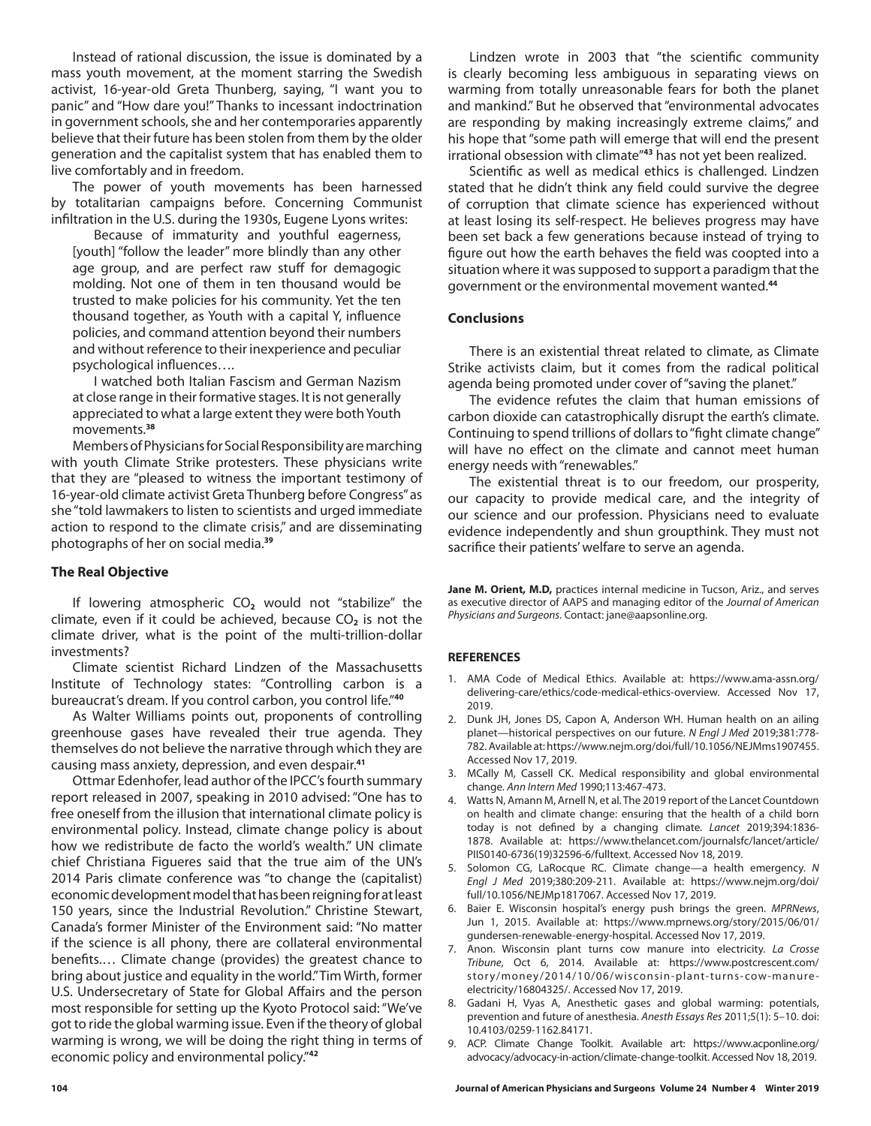Instead of rational discussion, the issue is dominated by a mass youth movement, at the moment starring the Swedish activist, 16-year-old Greta Thunberg, saying, "I want you to panic" and "How dare you!" Thanks to incessant indoctrination in government schools, she and her contemporaries apparently believe that their future has been stolen from them by the older generation and the capitalist system that has enabled them to live comfortably and in freedom.

The power of youth movements has been harnessed by totalitarian campaigns before. Concerning Communist infiltration in the U.S. during the 1930s, Eugene Lyons writes:

Because of immaturity and youthful eagerness, [youth] "follow the leader" more blindly than any other age group, and are perfect raw stuff for demagogic molding. Not one of them in ten thousand would be trusted to make policies for his community. Yet the ten thousand together, as Youth with a capital Y, influence policies, and command attention beyond their numbers and without reference to their inexperience and peculiar psychological influences….

I watched both Italian Fascism and German Nazism at close range in their formative stages. It is not generally appreciated to what a large extent they were both Youth movements.**<sup>38</sup>**

Members of Physicians for Social Responsibility are marching with youth Climate Strike protesters. These physicians write that they are "pleased to witness the important testimony of 16-year-old climate activist Greta Thunberg before Congress" as she "told lawmakers to listen to scientists and urged immediate action to respond to the climate crisis," and are disseminating photographs of her on social media.**<sup>39</sup>**

### **The Real Objective**

If lowering atmospheric CO<sub>2</sub> would not "stabilize" the climate, even if it could be achieved, because CO<sub>2</sub> is not the climate driver, what is the point of the multi-trillion-dollar investments?

Climate scientist Richard Lindzen of the Massachusetts Institute of Technology states: "Controlling carbon is a bureaucrat's dream. If you control carbon, you control life."**<sup>40</sup>**

As Walter Williams points out, proponents of controlling greenhouse gases have revealed their true agenda. They themselves do not believe the narrative through which they are causing mass anxiety, depression, and even despair.**<sup>41</sup>**

Ottmar Edenhofer, lead author of the IPCC's fourth summary report released in 2007, speaking in 2010 advised: "One has to free oneself from the illusion that international climate policy is environmental policy. Instead, climate change policy is about how we redistribute de facto the world's wealth." UN climate chief Christiana Figueres said that the true aim of the UN's 2014 Paris climate conference was "to change the (capitalist) economic development model that has been reigning for at least 150 years, since the Industrial Revolution." Christine Stewart, Canada's former Minister of the Environment said: "No matter if the science is all phony, there are collateral environmental benefits.… Climate change (provides) the greatest chance to bring about justice and equality in the world." Tim Wirth, former U.S. Undersecretary of State for Global Affairs and the person most responsible for setting up the Kyoto Protocol said: "We've got to ride the global warming issue. Even if the theory of global warming is wrong, we will be doing the right thing in terms of economic policy and environmental policy."**<sup>42</sup>**

Lindzen wrote in 2003 that "the scientific community is clearly becoming less ambiguous in separating views on warming from totally unreasonable fears for both the planet and mankind." But he observed that "environmental advocates are responding by making increasingly extreme claims," and his hope that "some path will emerge that will end the present irrational obsession with climate"**<sup>43</sup>** has not yet been realized.

Scientific as well as medical ethics is challenged. Lindzen stated that he didn't think any field could survive the degree of corruption that climate science has experienced without at least losing its self-respect. He believes progress may have been set back a few generations because instead of trying to figure out how the earth behaves the field was coopted into a situation where it was supposed to support a paradigm that the government or the environmental movement wanted.**<sup>44</sup>**

#### **Conclusions**

There is an existential threat related to climate, as Climate Strike activists claim, but it comes from the radical political agenda being promoted under cover of "saving the planet."

The evidence refutes the claim that human emissions of carbon dioxide can catastrophically disrupt the earth's climate. Continuing to spend trillions of dollars to "fight climate change" will have no effect on the climate and cannot meet human energy needs with "renewables."

The existential threat is to our freedom, our prosperity, our capacity to provide medical care, and the integrity of our science and our profession. Physicians need to evaluate evidence independently and shun groupthink. They must not sacrifice their patients' welfare to serve an agenda.

**Jane M. Orient, M.D,** practices internal medicine in Tucson, Ariz., and serves as executive director of AAPS and managing editor of the *Journal of American Physicians and Surgeons*. Contact: jane@aapsonline.org.

#### **REFERENCES**

- 1. AMA Code of Medical Ethics. Available at: https://www.ama-assn.org/ delivering-care/ethics/code-medical-ethics-overview. Accessed Nov 17, 2019.
- 2. Dunk JH, Jones DS, Capon A, Anderson WH. Human health on an ailing planet—historical perspectives on our future. *N Engl J Med* 2019;381:778- 782. Available at: https://www.nejm.org/doi/full/10.1056/NEJMms1907455. Accessed Nov 17, 2019.
- 3. MCally M, Cassell CK. Medical responsibility and global environmental change. *Ann Intern Med* 1990;113:467-473.
- 4. Watts N, Amann M, Arnell N, et al. The 2019 report of the Lancet Countdown on health and climate change: ensuring that the health of a child born today is not defined by a changing climate. *Lancet* 2019;394:1836- 1878. Available at: https://www.thelancet.com/journalsfc/lancet/article/ PIIS0140-6736(19)32596-6/fulltext. Accessed Nov 18, 2019.
- 5. Solomon CG, LaRocque RC. Climate change—a health emergency. *N Engl J Med* 2019;380:209-211. Available at: https://www.nejm.org/doi/ full/10.1056/NEJMp1817067. Accessed Nov 17, 2019.
- 6. Baier E. Wisconsin hospital's energy push brings the green. *MPRNews*, Jun 1, 2015. Available at: https://www.mprnews.org/story/2015/06/01/ gundersen-renewable-energy-hospital. Accessed Nov 17, 2019.
- 7. Anon. Wisconsin plant turns cow manure into electricity. *La Crosse Tribune*, Oct 6, 2014. Available at: https://www.postcrescent.com/ story/money/2014/10/06/wisconsin-plant-turns-cow-manureelectricity/16804325/. Accessed Nov 17, 2019.
- 8. Gadani H, Vyas A, Anesthetic gases and global warming: potentials, prevention and future of anesthesia. *Anesth Essays Res* 2011;5(1): 5–10. doi: 10.4103/0259-1162.84171.
- 9. ACP. Climate Change Toolkit. Available art: https://www.acponline.org/ advocacy/advocacy-in-action/climate-change-toolkit. Accessed Nov 18, 2019.